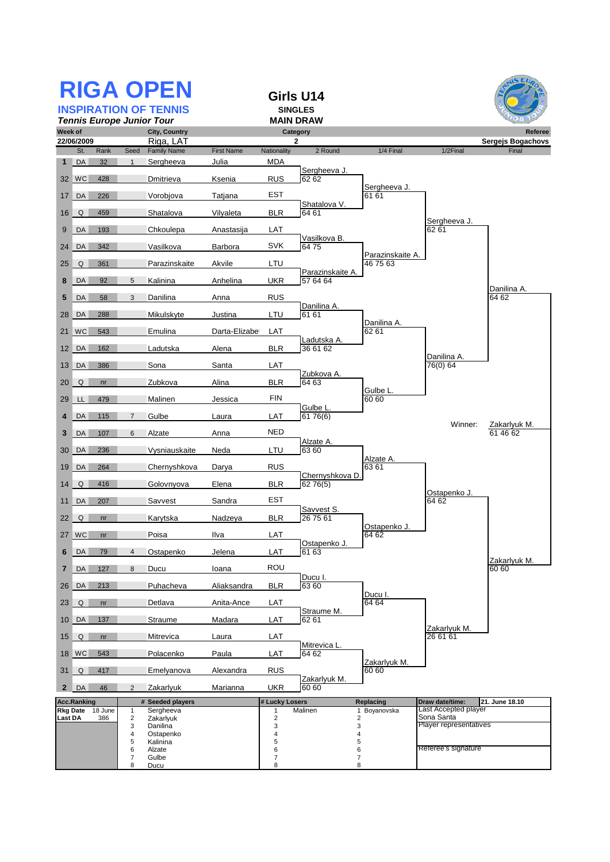|                                                                              |               |            |                              | <b>RIGA OPEN</b>               |                   |                           | Girls U14                               |                              |                                      |                                     |
|------------------------------------------------------------------------------|---------------|------------|------------------------------|--------------------------------|-------------------|---------------------------|-----------------------------------------|------------------------------|--------------------------------------|-------------------------------------|
| <b>INSPIRATION OF TENNIS</b>                                                 |               |            |                              |                                |                   | <b>SINGLES</b>            |                                         |                              |                                      |                                     |
| <b>Tennis Europe Junior Tour</b><br>Week of                                  |               |            |                              |                                |                   |                           | MAIN DRAW                               |                              |                                      |                                     |
|                                                                              | 22/06/2009    |            |                              | City, Country<br>Riga, LAT     |                   |                           | Category<br>$\mathbf{2}$                |                              |                                      | Referee<br><b>Sergejs Bogachovs</b> |
|                                                                              | St.<br>$1$ DA | Rank       | Seed<br>$\mathbf{1}$         | <b>Family Name</b>             | <b>First Name</b> | Nationality               | 2 Round                                 | 1/4 Final                    | 1/2Final                             | Final                               |
|                                                                              | 32 WC         | 32<br>428  |                              | Sergheeva<br>Dmitrieva         | Julia<br>Ksenia   | <b>MDA</b><br><b>RUS</b>  | Sergheeva J.<br>62 62                   |                              |                                      |                                     |
|                                                                              | 17 DA         | 226        |                              | Vorobjova                      | Tatjana           | EST                       |                                         | Sergheeva J.<br>61 61        |                                      |                                     |
| 16                                                                           | Q             | 459        |                              | Shatalova                      | Vilyaleta         | <b>BLR</b>                | Shatalova V.<br>64 61                   |                              |                                      |                                     |
| 9                                                                            | DA            | 193        |                              | Chkoulepa                      | Anastasija        | LAT                       |                                         |                              | Sergheeva J.<br>62 61                |                                     |
| 24 <sup>1</sup>                                                              | DA            | 342        |                              | Vasilkova                      | Barbora           | <b>SVK</b>                | Vasilkova B.<br>6475                    |                              |                                      |                                     |
| 25                                                                           | Q             | 361        |                              | Parazinskaite                  | Akvile            | LTU                       |                                         | Parazinskaite A.<br>46 75 63 |                                      |                                     |
| 8                                                                            | DA            | 92         | 5                            | Kalinina                       | Anhelina          | <b>UKR</b>                | Parazinskaite A.<br>57 64 64            |                              |                                      |                                     |
| 5                                                                            | DA            | 58         | 3                            | Danilina                       | Anna              | <b>RUS</b>                |                                         |                              |                                      | Danilina A.<br>64 62                |
|                                                                              | 28 DA         | 288        |                              | Mikulskyte                     | Justina           | LTU                       | Danilina A.<br>61 61                    |                              |                                      |                                     |
| 21                                                                           | <b>WC</b>     | 543        |                              | Emulina                        | Darta-Elizabe     | LAT                       |                                         | Danilina A.<br>62 61         |                                      |                                     |
| 12                                                                           | DA            | 162        |                              | Ladutska                       | Alena             | <b>BLR</b>                | Ladutska A<br>36 61 62                  |                              | Danilina A.                          |                                     |
| 13                                                                           | DA            | 386        |                              | Sona                           | Santa             | LAT                       |                                         |                              | 76(0) 64                             |                                     |
| 20                                                                           | Q             | nr         |                              | Zubkova                        | Alina             | <b>BLR</b>                | Zubkova A.<br>64 63                     | Gulbe L.                     |                                      |                                     |
| 29                                                                           | LL.           | 479        |                              | Malinen                        | Jessica           | FIN                       | Gulbe L.                                | 60 60                        |                                      |                                     |
| 4                                                                            | DA            | 115        | $\overline{7}$               | Gulbe                          | Laura             | LAT                       | 61 76(6)                                |                              | Winner:                              | Zakarlyuk M.                        |
| 3                                                                            | DA            | 107        | 6                            | Alzate                         | Anna              | <b>NED</b>                |                                         |                              |                                      | 61 46 62                            |
| 30                                                                           | DA            | 236        |                              | Vysniauskaite                  | Neda              | LTU                       | Alzate A.<br>63 60                      | Alzate A.                    |                                      |                                     |
| 19                                                                           | DA            | 264        |                              | Chernyshkova                   | Darya             | <b>RUS</b>                | Chernyshkova D.                         | 63 61                        |                                      |                                     |
| 14                                                                           | Q             | 416        |                              | Golovnyova                     | Elena             | <b>BLR</b>                | 62 76(5)                                |                              | Ostapenko J.                         |                                     |
| 11                                                                           | DA            | 207        |                              | Savvest                        | Sandra            | <b>EST</b>                | Savvest S.                              |                              | 64 62                                |                                     |
| 22                                                                           | Q             | nr         |                              | Karytska                       | Nadzeya           | <b>BLR</b>                | 26 75 61                                | Ostapenko J.                 |                                      |                                     |
|                                                                              | 27 WC         | $-$ nr $-$ |                              | Poisa                          | Ilva              | LAT                       | Ostapenko J.                            | 6462                         |                                      |                                     |
| 6                                                                            | DA            | 79         | $\overline{4}$               | Ostapenko                      | Jelena            | LAT                       | 61 63                                   |                              |                                      | Zakarlyuk M.                        |
| $\overline{\mathbf{r}}$                                                      | DA            | 127        | 8                            | Ducu                           | loana             | ROU                       | Ducu I.                                 |                              |                                      | 60 60                               |
| 26                                                                           | DA            | 213        |                              | Puhacheva                      | Aliaksandra       | <b>BLR</b>                | 63 60                                   | Ducu I.                      |                                      |                                     |
| 23                                                                           | $\mathsf Q$   | nr         |                              | Detlava                        | Anita-Ance        | LAT                       | Straume <sub>M.</sub>                   | 64 64                        |                                      |                                     |
|                                                                              | 10 DA         | 137        |                              | Straume                        | Madara            | LAT                       | 62 61                                   |                              | Zakarlyuk M.                         |                                     |
| 15                                                                           | Q             | nr         |                              | Mitrevica                      | Laura             | <b>LAT</b>                | Mitrevica L.                            |                              | 26 61 61                             |                                     |
|                                                                              | 18 WC         | 543        |                              | Polacenko                      | Paula             | LAT                       | 64 62                                   | Zakarlyuk M.                 |                                      |                                     |
| 31                                                                           | Q             | 417        |                              | Emelyanova                     | Alexandra         | <b>RUS</b>                | Zakarlyuk M.                            | 60 60                        |                                      |                                     |
| $2^{\prime}$                                                                 | DA            | 46         | $\overline{2}$               | Zakarlyuk                      | <b>Marianna</b>   | <b>UKR</b>                | 60 60                                   |                              |                                      |                                     |
| <b>Acc.Ranking</b><br># Seeded players<br>Rkg Date 18 June<br>Sergheeva<br>1 |               |            |                              | # Lucky Losers<br>$\mathbf{1}$ | Malinen           | Replacing<br>1 Boyanovska | Draw date/time:<br>Last Accepted player | 21. June 18.10               |                                      |                                     |
| Last DA                                                                      |               | 386        | $\mathbf 2$<br>3             | Zakarlyuk<br>Danilina          |                   | $\overline{c}$<br>3       |                                         | $\mathbf 2$<br>3             | Sona Santa<br>Player representatives |                                     |
|                                                                              |               |            | 4                            | Ostapenko                      |                   | 4                         |                                         | $\overline{\mathbf{r}}$      |                                      |                                     |
|                                                                              |               |            | 5<br>6                       | Kalinina<br>Alzate             |                   | 5<br>6                    |                                         | 5<br>6                       | Referee's signature                  |                                     |
|                                                                              |               |            | $\overline{\mathbf{7}}$<br>8 | Gulbe<br>Ducu                  |                   | $\overline{7}$<br>8       |                                         | $\overline{\mathbf{7}}$<br>8 |                                      |                                     |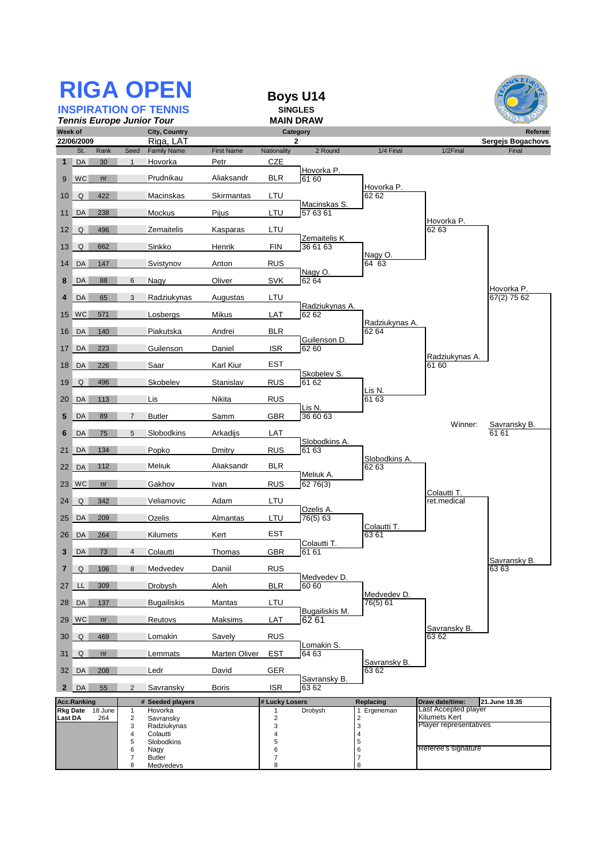| <b>RIGA OPEN</b><br><b>INSPIRATION OF TENNIS</b>             |                             |                |                     |                         |                   | <b>Boys U14</b><br><b>SINGLES</b><br><b>MAIN DRAW</b> |                          |                                            |                                       | $\overline{MS}$ EU        |
|--------------------------------------------------------------|-----------------------------|----------------|---------------------|-------------------------|-------------------|-------------------------------------------------------|--------------------------|--------------------------------------------|---------------------------------------|---------------------------|
| <b>Tennis Europe Junior Tour</b><br>Week of<br>City, Country |                             |                |                     |                         |                   |                                                       | Category                 |                                            |                                       | Referee                   |
|                                                              | 22/06/2009                  |                |                     | Riga, LAT               |                   |                                                       | 2                        |                                            |                                       | Sergejs Bogachovs         |
|                                                              | St.                         | Rank           | Seed                | <b>Family Name</b>      | <b>First Name</b> | Nationality                                           | 2 Round                  | 1/4 Final                                  | 1/2Final                              | Final                     |
| $\mathbf{1}$                                                 | $\overline{\phantom{a}}$ DA | 30             | $\overline{1}$      | Hovorka                 | Petr              | CZE                                                   | Hovorka P.               |                                            |                                       |                           |
| 9                                                            | <b>WC</b>                   | nr             |                     | Prudnikau               | Aliaksandr        | <b>BLR</b>                                            | 61 60                    | Hovorka P.                                 |                                       |                           |
| 10                                                           | Q                           | 422            |                     | Macinskas               | Skirmantas        | LTU                                                   |                          | 62 62                                      |                                       |                           |
| 11                                                           | DA                          | 238            |                     | Mockus                  | Pijus             | LTU                                                   | Macinskas S.<br>57 63 61 |                                            |                                       |                           |
| 12                                                           | Q                           | 496            |                     | Zemaitelis              | Kasparas          | LTU                                                   |                          |                                            | Hovorka P.<br>62 63                   |                           |
| 13                                                           | Q                           | 662            |                     | Sinkko                  | Henrik            | <b>FIN</b>                                            | Zemaitelis K<br>36 61 63 |                                            |                                       |                           |
|                                                              | 14 DA                       | 147            |                     | Svistynov               | Anton             | <b>RUS</b>                                            |                          | Nagy O.<br>$\overline{6}$ 4 63             |                                       |                           |
| 8                                                            | DA                          | 88             | 6                   | Nagy                    | Oliver            | <b>SVK</b>                                            | Nagy O.<br>62 64         |                                            |                                       |                           |
| 4                                                            | DA                          | 65             | 3                   | Radziukynas             | Augustas          | LTU                                                   |                          |                                            |                                       | Hovorka P.<br>67(2) 75 62 |
|                                                              | 15 WC                       | 571            |                     | Losbergs                | Mikus             | LAT                                                   | Radziukynas A.<br>62 62  |                                            |                                       |                           |
| 16                                                           | DA                          | 140            |                     | Piakutska               | Andrei            | <b>BLR</b>                                            |                          | Radziukynas A.<br>62 64                    |                                       |                           |
| 17                                                           | DA                          | 223            |                     | Guilenson               | Daniel            | <b>ISR</b>                                            | Guilenson D.<br>62 60    |                                            |                                       |                           |
| 18                                                           | $\overline{\phantom{a}}$ DA | 226            |                     | Saar                    | Karl Kiur         | <b>EST</b>                                            |                          |                                            | Radziukvnas A.<br>61 60               |                           |
| 19                                                           | Q                           | 496            |                     | Skobelev                | Stanislav         | <b>RUS</b>                                            | Skobelev S.<br>61 62     |                                            |                                       |                           |
| 20                                                           | $\overline{\mathsf{DA}}$    | 113            |                     | Lis                     | Nikita            | <b>RUS</b>                                            |                          | Lis N.<br>61 63                            |                                       |                           |
| 5                                                            | DA                          | 89             | 7                   | <b>Butler</b>           | Samm              | <b>GBR</b>                                            | Lis N.<br>36 60 63       |                                            |                                       |                           |
| 6                                                            | DA                          | 75             | 5                   | Slobodkins              | Arkadijs          | LAT                                                   |                          |                                            | Winner:                               | Savransky B.<br>61 61     |
| 21                                                           | DA                          | 134            |                     | Popko                   | Dmitry            | <b>RUS</b>                                            | Slobodkins A.<br>61 63   |                                            |                                       |                           |
| 22                                                           | DA                          | 112            |                     | Meliuk                  | Aliaksandr        | <b>BLR</b>                                            |                          | Slobodkins A.<br>62 63                     |                                       |                           |
|                                                              | 23 WC                       | nr             |                     | Gakhov                  |                   | <b>RUS</b>                                            | Meliuk A.<br>62 76(3)    |                                            |                                       |                           |
|                                                              |                             |                |                     |                         | Ivan              |                                                       |                          |                                            | Colautti T.                           |                           |
| 24                                                           | Q                           | 342            |                     | Veliamovic              | Adam              | LTU                                                   | Ozelis A.                |                                            | ret.medical                           |                           |
| 25                                                           | DA                          | 209            |                     | Ozelis                  | Almantas          | LTU                                                   | 76(5) 63                 | Colautti T.                                |                                       |                           |
|                                                              |                             | 26 DA 264      |                     | Kilumets                | Kert              | EST                                                   | Colautti T.              | 63 Q 1                                     |                                       |                           |
| 3                                                            | DA                          | 73             | $\overline{4}$      | Colautti                | Thomas            | <b>GBR</b>                                            | 61 61                    |                                            |                                       | Savransky B.              |
| 7                                                            | Q                           | 106            | 8                   | Medvedev                | Daniil            | <b>RUS</b>                                            | Medvedev D.              |                                            |                                       | 6363                      |
| 27                                                           | LL.                         | 309            |                     | Drobysh                 | Aleh              | <b>BLR</b>                                            | 60 60                    | Medvedev D.                                |                                       |                           |
| 28                                                           | $\overline{\phantom{a}}$ DA | 137            |                     | <b>Bugailiskis</b>      | Mantas            | LTU                                                   | Bugailiskis M.           | 76(5) 61                                   |                                       |                           |
| 29                                                           | $\mathsf{W}\mathsf{C}$      | nr             |                     | Reutovs                 | Maksims           | LAT                                                   | 62 61                    |                                            | Savransky B.                          |                           |
| 30                                                           | Q                           | 469            |                     | Lomakin                 | Savely            | <b>RUS</b>                                            | Lomakin S.               |                                            | 63 62                                 |                           |
| 31                                                           | Q                           | nr             |                     | Lemmats                 | Marten Oliver     | <b>EST</b>                                            | 64 63                    | Savransky B.                               |                                       |                           |
|                                                              | 32 DA                       | 208            |                     | Ledr                    | David             | <b>GER</b>                                            |                          | 63 62                                      |                                       |                           |
| $\mathbf{2}$                                                 | DA                          | 55             | 2                   | Savransky               | <b>Boris</b>      | <b>ISR</b>                                            | Savransky B.<br>63 62    |                                            |                                       |                           |
|                                                              | <b>Acc.Ranking</b>          |                |                     | # Seeded players        |                   | # Lucky Losers                                        |                          | Replacing                                  | Draw date/time:                       | 21.June 18.35             |
| <b>Last DA</b>                                               | <b>Rkg Date</b>             | 18 June<br>264 | 1<br>$\overline{c}$ | Hovorka<br>Savransky    |                   | 1<br>$\overline{\mathbf{c}}$                          | Drobysh                  | Ergeneman                                  | Last Accepted player<br>Kilumets Kert |                           |
|                                                              |                             |                | 3<br>$\overline{4}$ | Radziukynas<br>Colautti |                   | 3<br>4                                                |                          | $\begin{array}{c} 2 \\ 3 \\ 4 \end{array}$ | Player representatives                |                           |
|                                                              |                             |                | 5                   | Slobodkins              |                   | 5                                                     |                          | 5                                          |                                       |                           |
|                                                              |                             |                | 6<br>$\overline{7}$ | Nagy<br><b>Butler</b>   |                   | 6<br>$\overline{\mathcal{I}}$                         |                          | 6<br>$\overline{7}$                        | Referee's signature                   |                           |
|                                                              |                             |                | 8                   | Medvedevs               |                   | 8                                                     |                          | 8                                          |                                       |                           |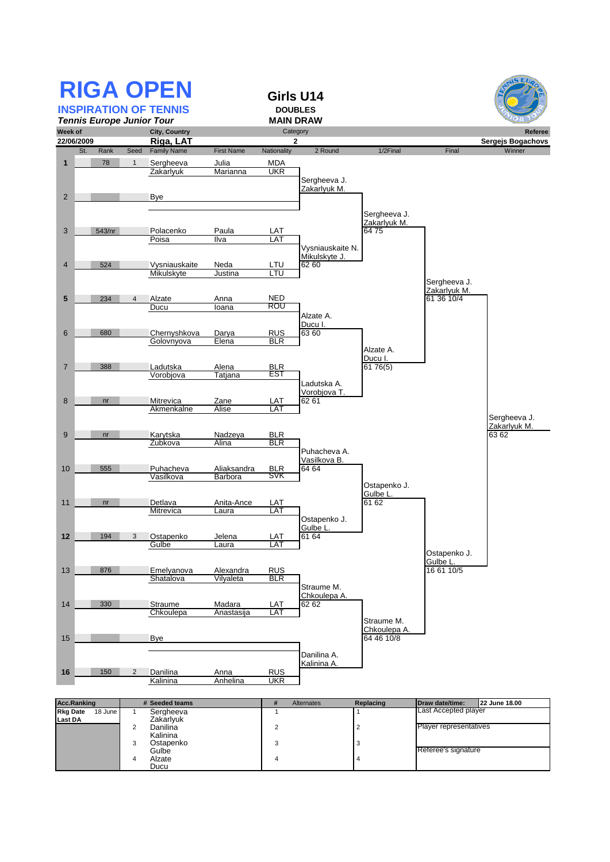